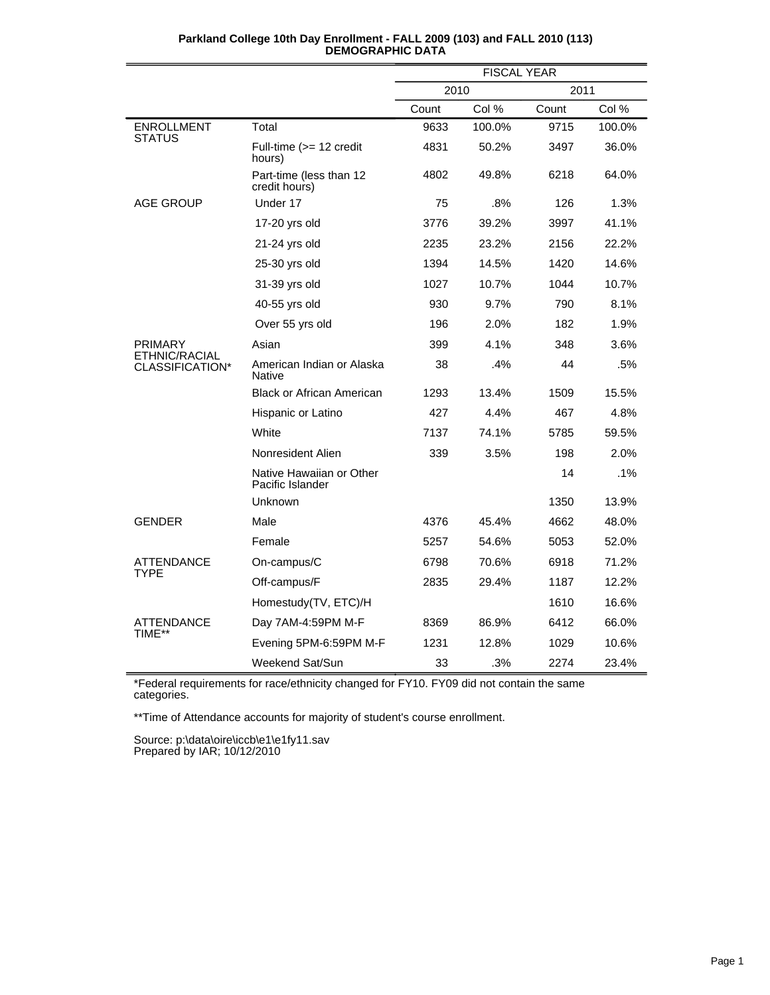|                                  |                                              | <b>FISCAL YEAR</b> |        |       |        |
|----------------------------------|----------------------------------------------|--------------------|--------|-------|--------|
|                                  |                                              | 2010               |        | 2011  |        |
|                                  |                                              | Count              | Col %  | Count | Col %  |
| <b>ENROLLMENT</b>                | Total                                        | 9633               | 100.0% | 9715  | 100.0% |
| STATUS                           | Full-time (>= 12 credit<br>hours)            | 4831               | 50.2%  | 3497  | 36.0%  |
|                                  | Part-time (less than 12<br>credit hours)     | 4802               | 49.8%  | 6218  | 64.0%  |
| <b>AGE GROUP</b>                 | Under 17                                     | 75                 | .8%    | 126   | 1.3%   |
|                                  | 17-20 yrs old                                | 3776               | 39.2%  | 3997  | 41.1%  |
|                                  | 21-24 yrs old                                | 2235               | 23.2%  | 2156  | 22.2%  |
|                                  | 25-30 yrs old                                | 1394               | 14.5%  | 1420  | 14.6%  |
|                                  | 31-39 yrs old                                | 1027               | 10.7%  | 1044  | 10.7%  |
|                                  | 40-55 yrs old                                | 930                | 9.7%   | 790   | 8.1%   |
|                                  | Over 55 yrs old                              | 196                | 2.0%   | 182   | 1.9%   |
| <b>PRIMARY</b>                   | Asian                                        | 399                | 4.1%   | 348   | 3.6%   |
| ETHNIC/RACIAL<br>CLASSIFICATION* | American Indian or Alaska<br><b>Native</b>   | 38                 | .4%    | 44    | .5%    |
|                                  | <b>Black or African American</b>             | 1293               | 13.4%  | 1509  | 15.5%  |
|                                  | Hispanic or Latino                           | 427                | 4.4%   | 467   | 4.8%   |
|                                  | White                                        | 7137               | 74.1%  | 5785  | 59.5%  |
|                                  | Nonresident Alien                            | 339                | 3.5%   | 198   | 2.0%   |
|                                  | Native Hawaiian or Other<br>Pacific Islander |                    |        | 14    | $.1\%$ |
|                                  | Unknown                                      |                    |        | 1350  | 13.9%  |
| <b>GENDER</b>                    | Male                                         | 4376               | 45.4%  | 4662  | 48.0%  |
|                                  | Female                                       | 5257               | 54.6%  | 5053  | 52.0%  |
| ATTENDANCE                       | On-campus/C                                  | 6798               | 70.6%  | 6918  | 71.2%  |
| TYPE                             | Off-campus/F                                 | 2835               | 29.4%  | 1187  | 12.2%  |
|                                  | Homestudy(TV, ETC)/H                         |                    |        | 1610  | 16.6%  |
| <b>ATTENDANCE</b>                | Day 7AM-4:59PM M-F                           | 8369               | 86.9%  | 6412  | 66.0%  |
| TIME**                           | Evening 5PM-6:59PM M-F                       | 1231               | 12.8%  | 1029  | 10.6%  |
|                                  | Weekend Sat/Sun                              | 33                 | .3%    | 2274  | 23.4%  |

\*Federal requirements for race/ethnicity changed for FY10. FY09 did not contain the same categories.

\*\*Time of Attendance accounts for majority of student's course enrollment.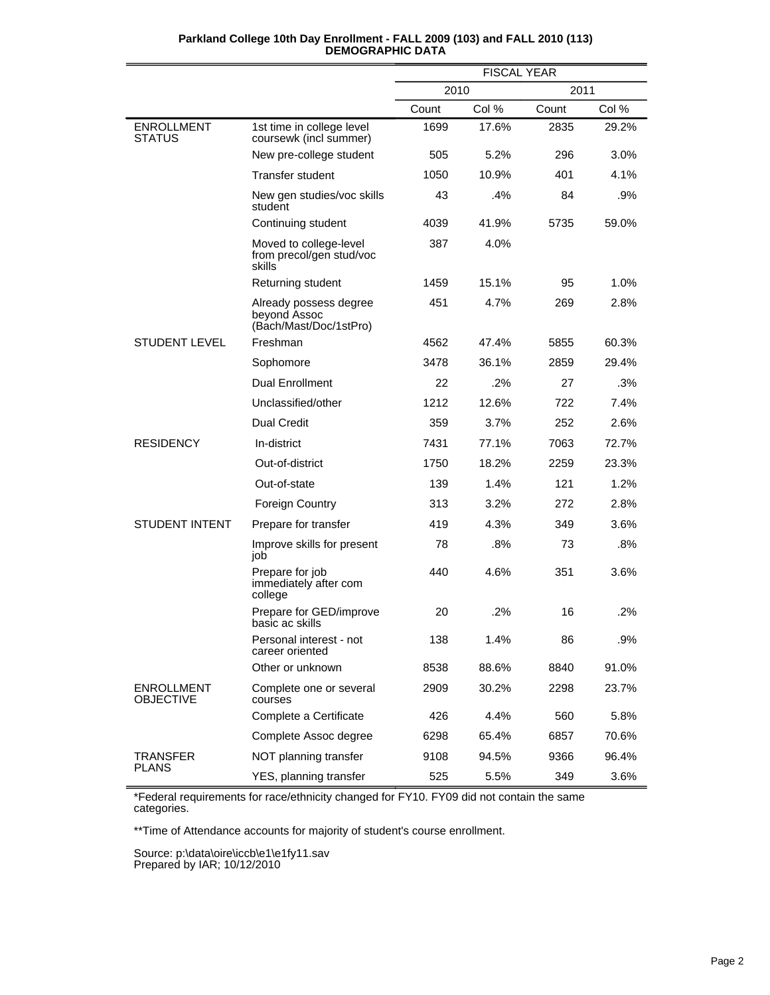|                                       |                                                                  | <b>FISCAL YEAR</b> |       |       |       |
|---------------------------------------|------------------------------------------------------------------|--------------------|-------|-------|-------|
|                                       |                                                                  | 2010<br>2011       |       |       |       |
|                                       |                                                                  | Count              | Col % | Count | Col % |
| <b>ENROLLMENT</b><br><b>STATUS</b>    | 1st time in college level<br>coursewk (incl summer)              | 1699               | 17.6% | 2835  | 29.2% |
|                                       | New pre-college student                                          | 505                | 5.2%  | 296   | 3.0%  |
|                                       | <b>Transfer student</b>                                          | 1050               | 10.9% | 401   | 4.1%  |
|                                       | New gen studies/voc skills<br>student                            | 43                 | .4%   | 84    | .9%   |
|                                       | Continuing student                                               | 4039               | 41.9% | 5735  | 59.0% |
|                                       | Moved to college-level<br>from precol/gen stud/voc<br>skills     | 387                | 4.0%  |       |       |
|                                       | Returning student                                                | 1459               | 15.1% | 95    | 1.0%  |
|                                       | Already possess degree<br>beyond Assoc<br>(Bach/Mast/Doc/1stPro) | 451                | 4.7%  | 269   | 2.8%  |
| <b>STUDENT LEVEL</b>                  | Freshman                                                         | 4562               | 47.4% | 5855  | 60.3% |
|                                       | Sophomore                                                        | 3478               | 36.1% | 2859  | 29.4% |
|                                       | <b>Dual Enrollment</b>                                           | 22                 | .2%   | 27    | .3%   |
|                                       | Unclassified/other                                               | 1212               | 12.6% | 722   | 7.4%  |
|                                       | <b>Dual Credit</b>                                               | 359                | 3.7%  | 252   | 2.6%  |
| <b>RESIDENCY</b>                      | In-district                                                      | 7431               | 77.1% | 7063  | 72.7% |
|                                       | Out-of-district                                                  | 1750               | 18.2% | 2259  | 23.3% |
|                                       | Out-of-state                                                     | 139                | 1.4%  | 121   | 1.2%  |
|                                       | <b>Foreign Country</b>                                           | 313                | 3.2%  | 272   | 2.8%  |
| <b>STUDENT INTENT</b>                 | Prepare for transfer                                             | 419                | 4.3%  | 349   | 3.6%  |
|                                       | Improve skills for present<br>job                                | 78                 | .8%   | 73    | .8%   |
|                                       | Prepare for job<br>immediately after com<br>college              | 440                | 4.6%  | 351   | 3.6%  |
|                                       | Prepare for GED/improve<br>basic ac skills                       | 20                 | .2%   | 16    | .2%   |
|                                       | Personal interest - not<br>career oriented                       | 138                | 1.4%  | 86    | .9%   |
|                                       | Other or unknown                                                 | 8538               | 88.6% | 8840  | 91.0% |
| <b>ENROLLMENT</b><br><b>OBJECTIVE</b> | Complete one or several<br>courses                               | 2909               | 30.2% | 2298  | 23.7% |
|                                       | Complete a Certificate                                           | 426                | 4.4%  | 560   | 5.8%  |
|                                       | Complete Assoc degree                                            | 6298               | 65.4% | 6857  | 70.6% |
| <b>TRANSFER</b><br><b>PLANS</b>       | NOT planning transfer                                            | 9108               | 94.5% | 9366  | 96.4% |
|                                       | YES, planning transfer                                           | 525                | 5.5%  | 349   | 3.6%  |

\*Federal requirements for race/ethnicity changed for FY10. FY09 did not contain the same categories.

\*\*Time of Attendance accounts for majority of student's course enrollment.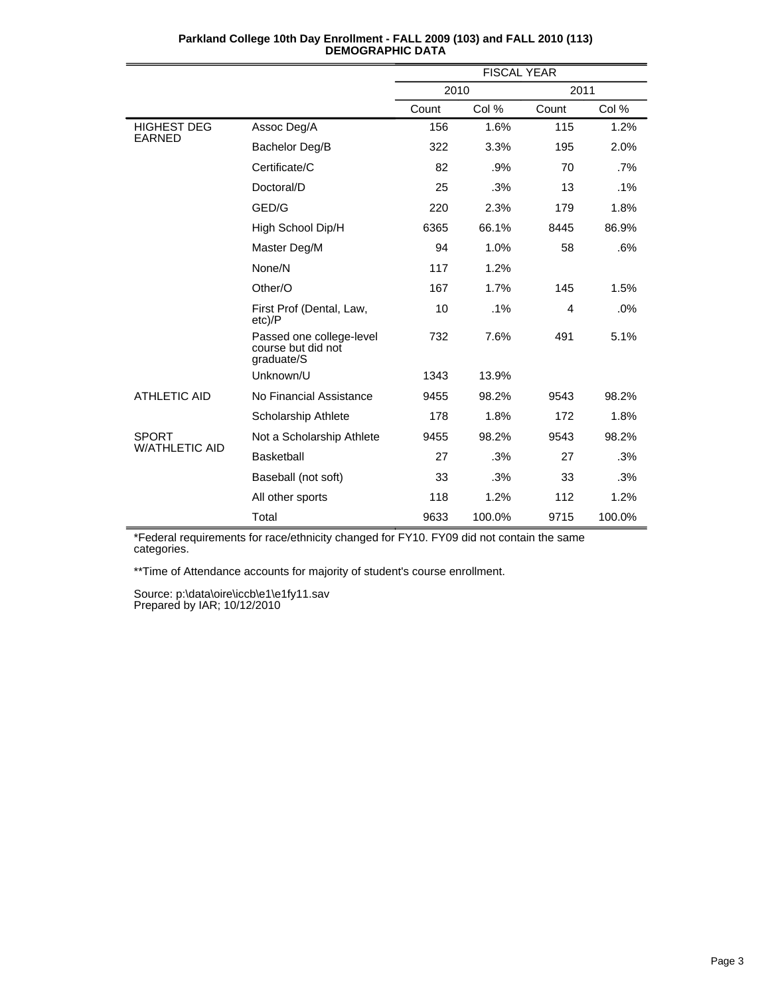|                       |                                                              | <b>FISCAL YEAR</b> |        |       |        |
|-----------------------|--------------------------------------------------------------|--------------------|--------|-------|--------|
|                       |                                                              | 2010               |        | 2011  |        |
|                       |                                                              | Count              | Col %  | Count | Col %  |
| <b>HIGHEST DEG</b>    | Assoc Deg/A                                                  | 156                | 1.6%   | 115   | 1.2%   |
| <b>EARNED</b>         | Bachelor Deg/B                                               | 322                | 3.3%   | 195   | 2.0%   |
|                       | Certificate/C                                                | 82                 | .9%    | 70    | .7%    |
|                       | Doctoral/D                                                   | 25                 | .3%    | 13    | .1%    |
|                       | GED/G                                                        | 220                | 2.3%   | 179   | 1.8%   |
|                       | High School Dip/H                                            | 6365               | 66.1%  | 8445  | 86.9%  |
|                       | Master Deg/M                                                 | 94                 | 1.0%   | 58    | .6%    |
|                       | None/N                                                       | 117                | 1.2%   |       |        |
|                       | Other/O                                                      | 167                | 1.7%   | 145   | 1.5%   |
|                       | First Prof (Dental, Law,<br>$etc$ )/P                        | 10                 | .1%    | 4     | .0%    |
|                       | Passed one college-level<br>course but did not<br>graduate/S | 732                | 7.6%   | 491   | 5.1%   |
|                       | Unknown/U                                                    | 1343               | 13.9%  |       |        |
| <b>ATHLETIC AID</b>   | No Financial Assistance                                      | 9455               | 98.2%  | 9543  | 98.2%  |
|                       | Scholarship Athlete                                          | 178                | 1.8%   | 172   | 1.8%   |
| <b>SPORT</b>          | Not a Scholarship Athlete                                    | 9455               | 98.2%  | 9543  | 98.2%  |
| <b>W/ATHLETIC AID</b> | <b>Basketball</b>                                            | 27                 | .3%    | 27    | .3%    |
|                       | Baseball (not soft)                                          | 33                 | .3%    | 33    | .3%    |
|                       | All other sports                                             | 118                | 1.2%   | 112   | 1.2%   |
|                       | Total                                                        | 9633               | 100.0% | 9715  | 100.0% |

| Parkland College 10th Day Enrollment - FALL 2009 (103) and FALL 2010 (113) |  |
|----------------------------------------------------------------------------|--|
| <b>DEMOGRAPHIC DATA</b>                                                    |  |

\*Federal requirements for race/ethnicity changed for FY10. FY09 did not contain the same categories.

\*\*Time of Attendance accounts for majority of student's course enrollment.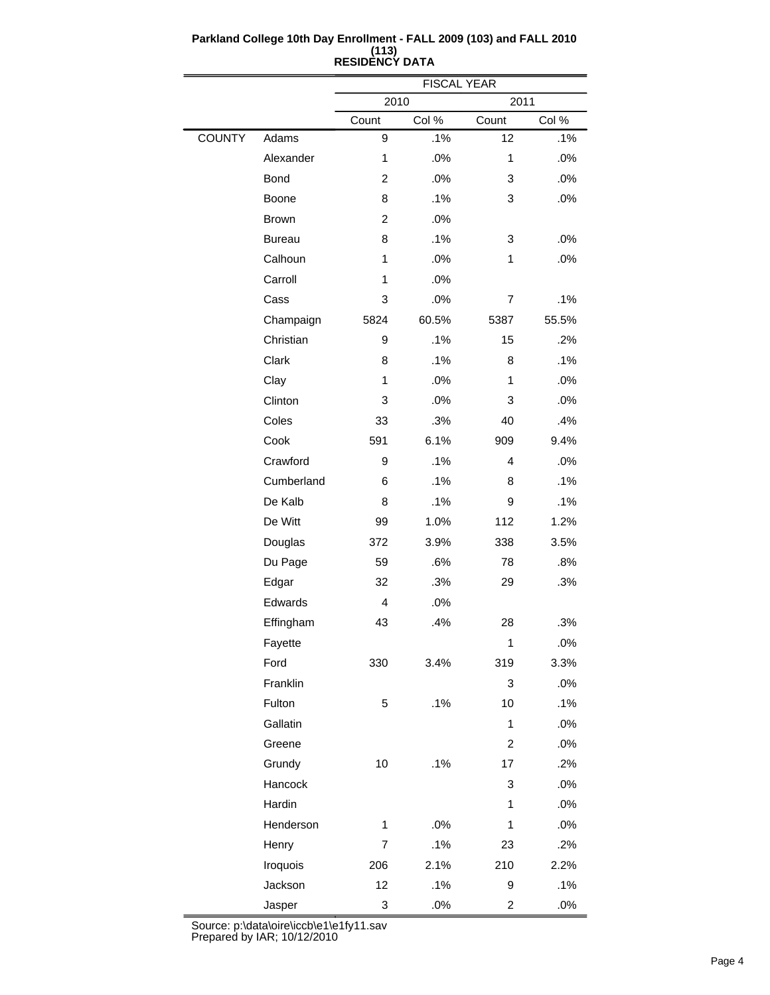|               |               |                | <b>FISCAL YEAR</b> |                         |        |  |
|---------------|---------------|----------------|--------------------|-------------------------|--------|--|
|               |               | 2010<br>2011   |                    |                         |        |  |
|               |               | Count          | Col %              | Count                   | Col %  |  |
| <b>COUNTY</b> | Adams         | 9              | .1%                | 12                      | .1%    |  |
|               | Alexander     | 1              | .0%                | $\mathbf{1}$            | .0%    |  |
|               | <b>Bond</b>   | $\overline{c}$ | .0%                | 3                       | .0%    |  |
|               | Boone         | 8              | .1%                | 3                       | .0%    |  |
|               | <b>Brown</b>  | $\overline{2}$ | .0%                |                         |        |  |
|               | <b>Bureau</b> | 8              | .1%                | 3                       | .0%    |  |
|               | Calhoun       | 1              | .0%                | $\mathbf{1}$            | .0%    |  |
|               | Carroll       | 1              | .0%                |                         |        |  |
|               | Cass          | 3              | .0%                | 7                       | .1%    |  |
|               | Champaign     | 5824           | 60.5%              | 5387                    | 55.5%  |  |
|               | Christian     | 9              | .1%                | 15                      | .2%    |  |
|               | Clark         | 8              | .1%                | 8                       | .1%    |  |
|               | Clay          | 1              | .0%                | 1                       | .0%    |  |
|               | Clinton       | 3              | .0%                | 3                       | .0%    |  |
|               | Coles         | 33             | .3%                | 40                      | .4%    |  |
|               | Cook          | 591            | 6.1%               | 909                     | 9.4%   |  |
|               | Crawford      | 9              | .1%                | 4                       | .0%    |  |
|               | Cumberland    | 6              | .1%                | 8                       | .1%    |  |
|               | De Kalb       | 8              | .1%                | 9                       | .1%    |  |
|               | De Witt       | 99             | 1.0%               | 112                     | 1.2%   |  |
|               | Douglas       | 372            | 3.9%               | 338                     | 3.5%   |  |
|               | Du Page       | 59             | .6%                | 78                      | .8%    |  |
|               | Edgar         | 32             | .3%                | 29                      | .3%    |  |
|               | Edwards       | $\overline{4}$ | .0%                |                         |        |  |
|               | Effingham     | 43             | .4%                | 28                      | .3%    |  |
|               | Fayette       |                |                    | 1                       | $.0\%$ |  |
|               | Ford          | 330            | 3.4%               | 319                     | 3.3%   |  |
|               | Franklin      |                |                    | 3                       | .0%    |  |
|               | Fulton        | 5              | .1%                | 10                      | .1%    |  |
|               | Gallatin      |                |                    | $\mathbf{1}$            | .0%    |  |
|               | Greene        |                |                    | $\overline{c}$          | .0%    |  |
|               | Grundy        | 10             | .1%                | 17                      | .2%    |  |
|               | Hancock       |                |                    | 3                       | .0%    |  |
|               | Hardin        |                |                    | 1                       | .0%    |  |
|               | Henderson     | 1              | .0%                | $\mathbf{1}$            | .0%    |  |
|               | Henry         | 7              | .1%                | 23                      | .2%    |  |
|               | Iroquois      | 206            | 2.1%               | 210                     | 2.2%   |  |
|               | Jackson       | 12             | .1%                | 9                       | .1%    |  |
|               | Jasper        | 3              | .0%                | $\overline{\mathbf{c}}$ | $.0\%$ |  |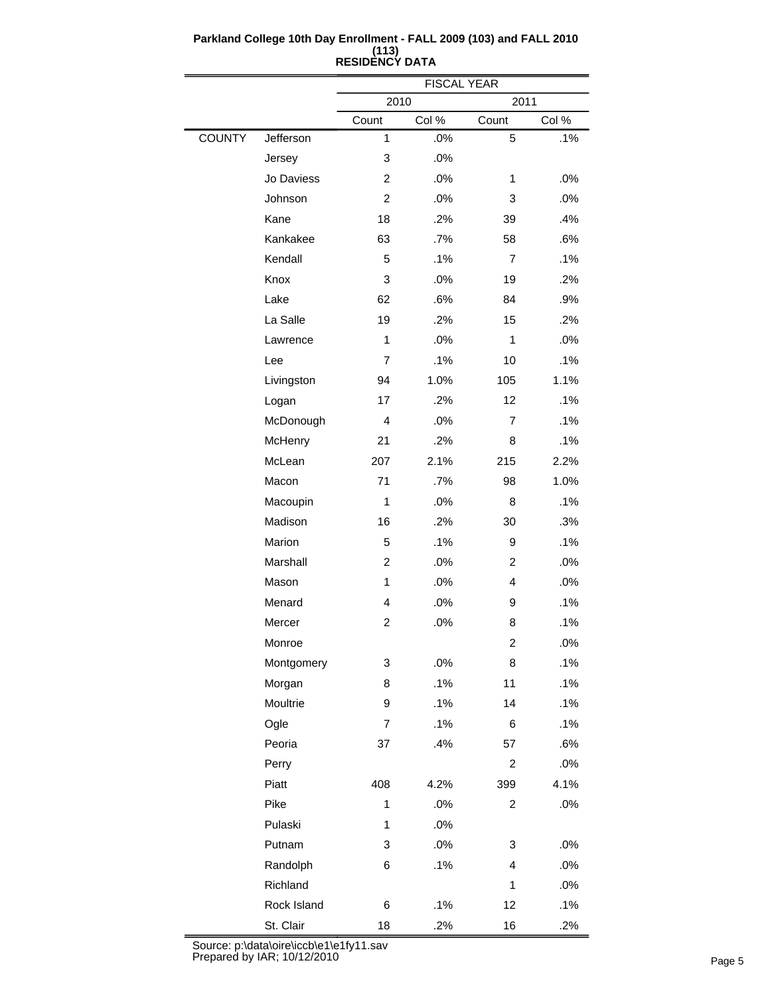|               |             | <b>FISCAL YEAR</b> |       |                |       |
|---------------|-------------|--------------------|-------|----------------|-------|
|               |             | 2010               |       | 2011           |       |
|               |             | Count              | Col % | Count          | Col % |
| <b>COUNTY</b> | Jefferson   | 1                  | .0%   | 5              | .1%   |
|               | Jersey      | 3                  | .0%   |                |       |
|               | Jo Daviess  | $\overline{2}$     | .0%   | 1              | .0%   |
|               | Johnson     | $\overline{c}$     | .0%   | 3              | .0%   |
|               | Kane        | 18                 | .2%   | 39             | .4%   |
|               | Kankakee    | 63                 | .7%   | 58             | .6%   |
|               | Kendall     | 5                  | .1%   | $\overline{7}$ | .1%   |
|               | Knox        | 3                  | .0%   | 19             | .2%   |
|               | Lake        | 62                 | .6%   | 84             | .9%   |
|               | La Salle    | 19                 | .2%   | 15             | .2%   |
|               | Lawrence    | $\mathbf{1}$       | .0%   | 1              | .0%   |
|               | Lee         | $\overline{7}$     | .1%   | 10             | .1%   |
|               | Livingston  | 94                 | 1.0%  | 105            | 1.1%  |
|               | Logan       | 17                 | .2%   | 12             | .1%   |
|               | McDonough   | 4                  | .0%   | $\overline{7}$ | .1%   |
|               | McHenry     | 21                 | .2%   | 8              | .1%   |
|               | McLean      | 207                | 2.1%  | 215            | 2.2%  |
|               | Macon       | 71                 | .7%   | 98             | 1.0%  |
|               | Macoupin    | $\mathbf{1}$       | .0%   | 8              | .1%   |
|               | Madison     | 16                 | .2%   | 30             | .3%   |
|               | Marion      | 5                  | .1%   | 9              | .1%   |
|               | Marshall    | $\overline{2}$     | .0%   | 2              | .0%   |
|               | Mason       | 1                  | .0%   | 4              | .0%   |
|               | Menard      | 4                  | .0%   | 9              | .1%   |
|               | Mercer      | $\overline{c}$     | .0%   | 8              | .1%   |
|               | Monroe      |                    |       | 2              | .0%   |
|               | Montgomery  | 3                  | .0%   | 8              | .1%   |
|               | Morgan      | 8                  | .1%   | 11             | .1%   |
|               | Moultrie    | 9                  | .1%   | 14             | .1%   |
|               | Ogle        | 7                  | .1%   | 6              | .1%   |
|               | Peoria      | 37                 | .4%   | 57             | .6%   |
|               | Perry       |                    |       | $\overline{c}$ | .0%   |
|               | Piatt       | 408                | 4.2%  | 399            | 4.1%  |
|               | Pike        | 1                  | .0%   | $\overline{c}$ | .0%   |
|               | Pulaski     | 1                  | .0%   |                |       |
|               | Putnam      | 3                  | .0%   | 3              | .0%   |
|               | Randolph    | 6                  | .1%   | 4              | .0%   |
|               | Richland    |                    |       | $\mathbf{1}$   | .0%   |
|               | Rock Island | 6                  | .1%   | 12             | .1%   |
|               | St. Clair   | 18                 | .2%   | 16             | .2%   |

 $\equiv$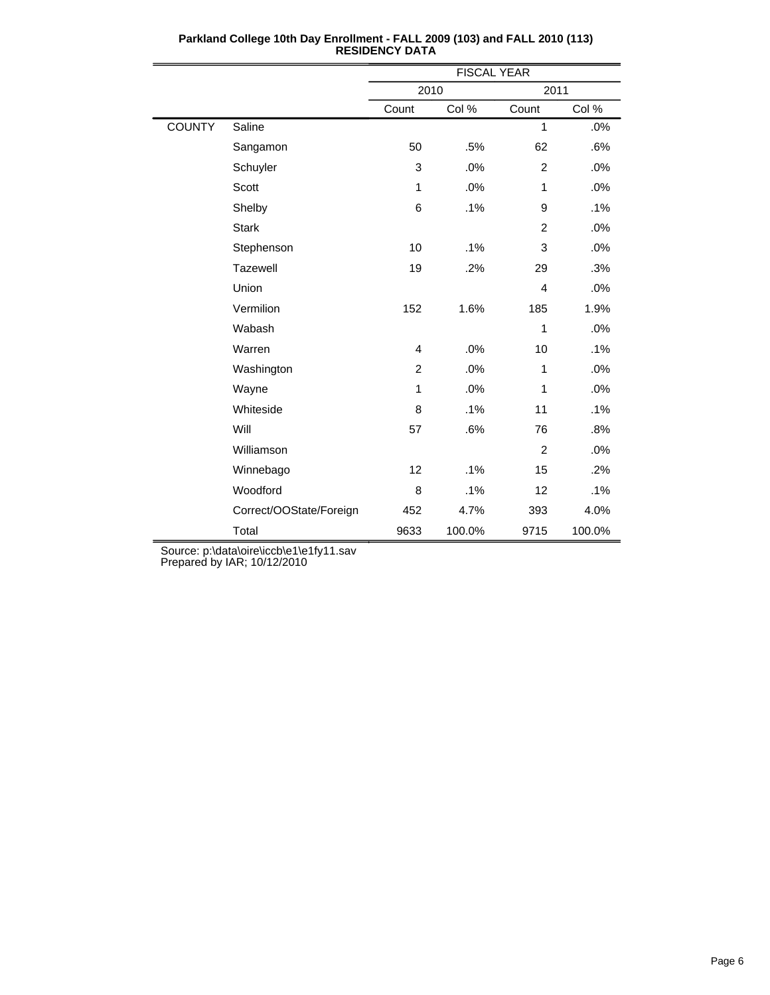|               |                         | <b>FISCAL YEAR</b> |        |                |        |  |  |
|---------------|-------------------------|--------------------|--------|----------------|--------|--|--|
|               |                         | 2010               |        | 2011           |        |  |  |
|               |                         | Count              | Col %  | Count          | Col %  |  |  |
| <b>COUNTY</b> | Saline                  |                    |        | 1              | .0%    |  |  |
|               | Sangamon                | 50                 | .5%    | 62             | .6%    |  |  |
|               | Schuyler                | 3                  | .0%    | $\overline{c}$ | .0%    |  |  |
|               | Scott                   | $\mathbf{1}$       | .0%    | 1              | .0%    |  |  |
|               | Shelby                  | 6                  | .1%    | 9              | .1%    |  |  |
|               | <b>Stark</b>            |                    |        | $\overline{2}$ | .0%    |  |  |
|               | Stephenson              | 10                 | .1%    | 3              | .0%    |  |  |
|               | Tazewell                | 19                 | .2%    | 29             | .3%    |  |  |
|               | Union                   |                    |        | 4              | .0%    |  |  |
|               | Vermilion               | 152                | 1.6%   | 185            | 1.9%   |  |  |
|               | Wabash                  |                    |        | 1              | .0%    |  |  |
|               | Warren                  | 4                  | .0%    | 10             | .1%    |  |  |
|               | Washington              | $\overline{c}$     | .0%    | 1              | .0%    |  |  |
|               | Wayne                   | $\mathbf{1}$       | .0%    | 1              | .0%    |  |  |
|               | Whiteside               | 8                  | .1%    | 11             | .1%    |  |  |
|               | Will                    | 57                 | .6%    | 76             | .8%    |  |  |
|               | Williamson              |                    |        | $\overline{c}$ | .0%    |  |  |
|               | Winnebago               | 12                 | .1%    | 15             | .2%    |  |  |
|               | Woodford                | 8                  | .1%    | 12             | .1%    |  |  |
|               | Correct/OOState/Foreign | 452                | 4.7%   | 393            | 4.0%   |  |  |
|               | Total                   | 9633               | 100.0% | 9715           | 100.0% |  |  |

**Parkland College 10th Day Enrollment - FALL 2009 (103) and FALL 2010 (113) RESIDENCY DATA**

Source: p:\data\oire\iccb\e1\e1fy11.sav

Prepared by IAR; 10/12/2010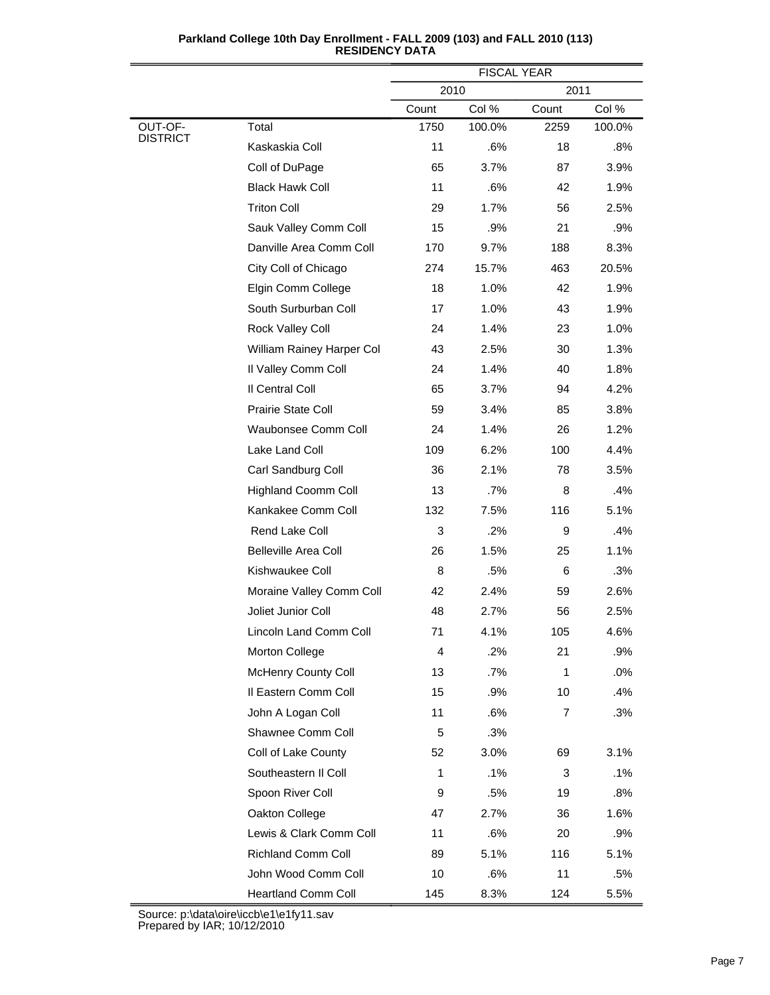|                            |                             | <b>FISCAL YEAR</b> |        |       |        |
|----------------------------|-----------------------------|--------------------|--------|-------|--------|
|                            |                             | 2010               |        | 2011  |        |
|                            |                             | Count              | Col %  | Count | Col %  |
| OUT-OF-<br><b>DISTRICT</b> | Total                       | 1750               | 100.0% | 2259  | 100.0% |
|                            | Kaskaskia Coll              | 11                 | .6%    | 18    | $.8\%$ |
|                            | Coll of DuPage              | 65                 | 3.7%   | 87    | 3.9%   |
|                            | <b>Black Hawk Coll</b>      | 11                 | .6%    | 42    | 1.9%   |
|                            | <b>Triton Coll</b>          | 29                 | 1.7%   | 56    | 2.5%   |
|                            | Sauk Valley Comm Coll       | 15                 | .9%    | 21    | .9%    |
|                            | Danville Area Comm Coll     | 170                | 9.7%   | 188   | 8.3%   |
|                            | City Coll of Chicago        | 274                | 15.7%  | 463   | 20.5%  |
|                            | Elgin Comm College          | 18                 | 1.0%   | 42    | 1.9%   |
|                            | South Surburban Coll        | 17                 | 1.0%   | 43    | 1.9%   |
|                            | Rock Valley Coll            | 24                 | 1.4%   | 23    | 1.0%   |
|                            | William Rainey Harper Col   | 43                 | 2.5%   | 30    | 1.3%   |
|                            | Il Valley Comm Coll         | 24                 | 1.4%   | 40    | 1.8%   |
|                            | Il Central Coll             | 65                 | 3.7%   | 94    | 4.2%   |
|                            | Prairie State Coll          | 59                 | 3.4%   | 85    | 3.8%   |
|                            | Waubonsee Comm Coll         | 24                 | 1.4%   | 26    | 1.2%   |
|                            | Lake Land Coll              | 109                | 6.2%   | 100   | 4.4%   |
|                            | Carl Sandburg Coll          | 36                 | 2.1%   | 78    | 3.5%   |
|                            | <b>Highland Coomm Coll</b>  | 13                 | .7%    | 8     | .4%    |
|                            | Kankakee Comm Coll          | 132                | 7.5%   | 116   | 5.1%   |
|                            | Rend Lake Coll              | 3                  | .2%    | 9     | .4%    |
|                            | <b>Belleville Area Coll</b> | 26                 | 1.5%   | 25    | 1.1%   |
|                            | Kishwaukee Coll             | 8                  | .5%    | 6     | .3%    |
|                            | Moraine Valley Comm Coll    | 42                 | 2.4%   | 59    | 2.6%   |
|                            | Joliet Junior Coll          | 48                 | 2.7%   | 56    | 2.5%   |
|                            | Lincoln Land Comm Coll      | 71                 | 4.1%   | 105   | 4.6%   |
|                            | Morton College              | 4                  | .2%    | 21    | .9%    |
|                            | McHenry County Coll         | 13                 | .7%    | 1     | .0%    |
|                            | Il Eastern Comm Coll        | 15                 | .9%    | 10    | .4%    |
|                            | John A Logan Coll           | 11                 | .6%    | 7     | .3%    |
|                            | Shawnee Comm Coll           | 5                  | .3%    |       |        |
|                            | Coll of Lake County         | 52                 | 3.0%   | 69    | 3.1%   |
|                            | Southeastern II Coll        | 1                  | .1%    | 3     | .1%    |
|                            | Spoon River Coll            | 9                  | .5%    | 19    | .8%    |
|                            | Oakton College              | 47                 | 2.7%   | 36    | 1.6%   |
|                            | Lewis & Clark Comm Coll     | 11                 | .6%    | 20    | $.9\%$ |
|                            | Richland Comm Coll          | 89                 | 5.1%   | 116   | 5.1%   |
|                            | John Wood Comm Coll         | 10                 | .6%    | 11    | .5%    |
|                            | Heartland Comm Coll         | 145                | 8.3%   | 124   | 5.5%   |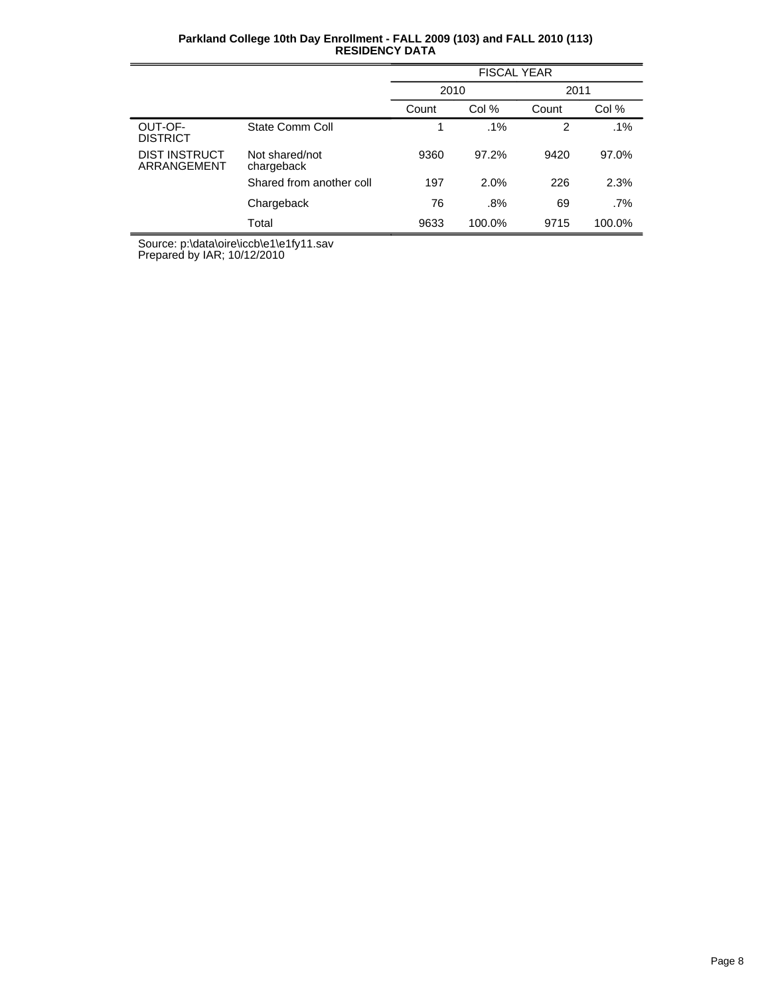| Parkland College 10th Day Enrollment - FALL 2009 (103) and FALL 2010 (113) |  |
|----------------------------------------------------------------------------|--|
| <b>RESIDENCY DATA</b>                                                      |  |

|                                     |                              | <b>FISCAL YEAR</b> |        |       |        |  |
|-------------------------------------|------------------------------|--------------------|--------|-------|--------|--|
|                                     |                              | 2010               |        | 2011  |        |  |
|                                     |                              | Count              | Col %  | Count | Col %  |  |
| OUT-OF-<br><b>DISTRICT</b>          | State Comm Coll              |                    | .1%    | 2     | $.1\%$ |  |
| <b>DIST INSTRUCT</b><br>ARRANGEMENT | Not shared/not<br>chargeback | 9360               | 97.2%  | 9420  | 97.0%  |  |
|                                     | Shared from another coll     | 197                | 2.0%   | 226   | 2.3%   |  |
|                                     | Chargeback                   | 76                 | .8%    | 69    | .7%    |  |
|                                     | Total                        | 9633               | 100.0% | 9715  | 100.0% |  |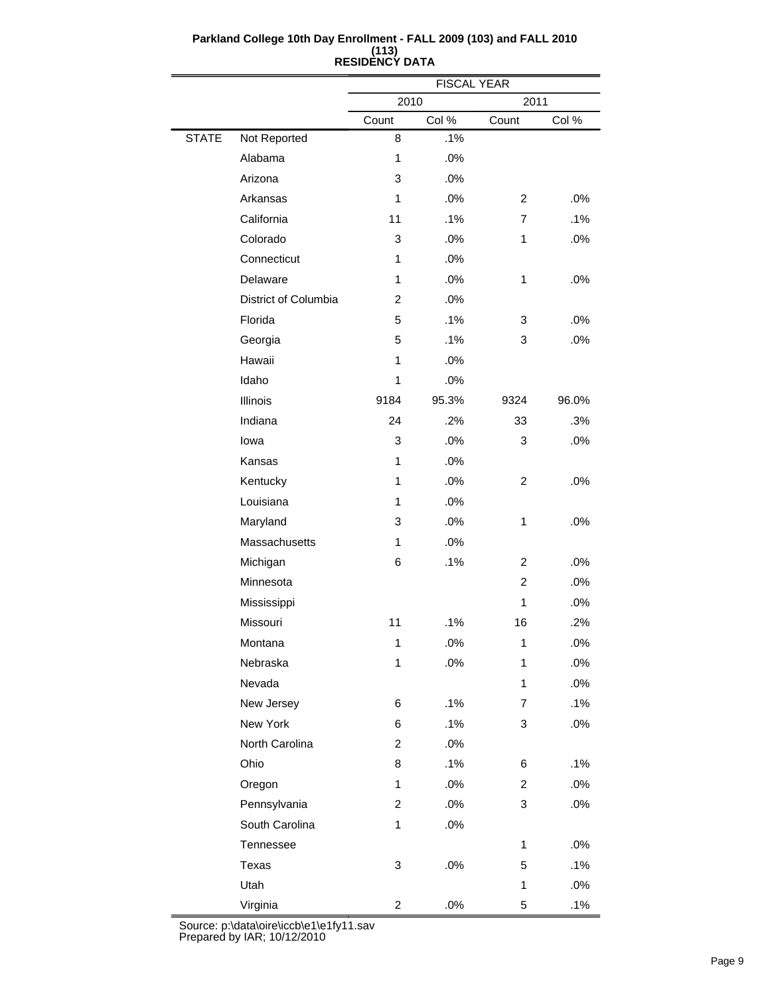|              |                      | <b>FISCAL YEAR</b>      |       |                |       |  |  |
|--------------|----------------------|-------------------------|-------|----------------|-------|--|--|
|              |                      | 2010                    |       |                | 2011  |  |  |
|              |                      | Count                   | Col % | Count          | Col % |  |  |
| <b>STATE</b> | Not Reported         | 8                       | .1%   |                |       |  |  |
|              | Alabama              | 1                       | .0%   |                |       |  |  |
|              | Arizona              | 3                       | .0%   |                |       |  |  |
|              | Arkansas             | $\mathbf{1}$            | .0%   | 2              | .0%   |  |  |
|              | California           | 11                      | .1%   | $\overline{7}$ | .1%   |  |  |
|              | Colorado             | 3                       | .0%   | 1              | .0%   |  |  |
|              | Connecticut          | 1                       | .0%   |                |       |  |  |
|              | Delaware             | 1                       | .0%   | $\mathbf{1}$   | .0%   |  |  |
|              | District of Columbia | $\overline{2}$          | .0%   |                |       |  |  |
|              | Florida              | 5                       | .1%   | 3              | .0%   |  |  |
|              | Georgia              | 5                       | .1%   | 3              | .0%   |  |  |
|              | Hawaii               | $\mathbf{1}$            | .0%   |                |       |  |  |
|              | Idaho                | 1                       | .0%   |                |       |  |  |
|              | Illinois             | 9184                    | 95.3% | 9324           | 96.0% |  |  |
|              | Indiana              | 24                      | .2%   | 33             | .3%   |  |  |
|              | lowa                 | 3                       | .0%   | 3              | .0%   |  |  |
|              | Kansas               | 1                       | .0%   |                |       |  |  |
|              | Kentucky             | $\mathbf{1}$            | .0%   | $\overline{c}$ | .0%   |  |  |
|              | Louisiana            | 1                       | .0%   |                |       |  |  |
|              | Maryland             | 3                       | .0%   | $\mathbf{1}$   | .0%   |  |  |
|              | Massachusetts        | 1                       | .0%   |                |       |  |  |
|              | Michigan             | 6                       | .1%   | 2              | .0%   |  |  |
|              | Minnesota            |                         |       | $\overline{2}$ | .0%   |  |  |
|              | Mississippi          |                         |       | 1              | .0%   |  |  |
|              | Missouri             | 11                      | .1%   | 16             | .2%   |  |  |
|              | Montana              | 1                       | .0%   | 1              | .0%   |  |  |
|              | Nebraska             | 1                       | .0%   | $\mathbf{1}$   | .0%   |  |  |
|              | Nevada               |                         |       | 1              | .0%   |  |  |
|              | New Jersey           | 6                       | .1%   | 7              | .1%   |  |  |
|              | New York             | 6                       | .1%   | 3              | .0%   |  |  |
|              | North Carolina       | $\overline{2}$          | .0%   |                |       |  |  |
|              | Ohio                 | 8                       | .1%   | 6              | .1%   |  |  |
|              | Oregon               | $\mathbf{1}$            | .0%   | $\overline{c}$ | .0%   |  |  |
|              | Pennsylvania         | 2                       | .0%   | 3              | .0%   |  |  |
|              | South Carolina       | 1                       | .0%   |                |       |  |  |
|              | Tennessee            |                         |       | $\mathbf{1}$   | .0%   |  |  |
|              | Texas                | 3                       | .0%   | 5              | .1%   |  |  |
|              | Utah                 |                         |       | $\mathbf{1}$   | .0%   |  |  |
|              | Virginia             | $\overline{\mathbf{c}}$ | .0%   | 5              | .1%   |  |  |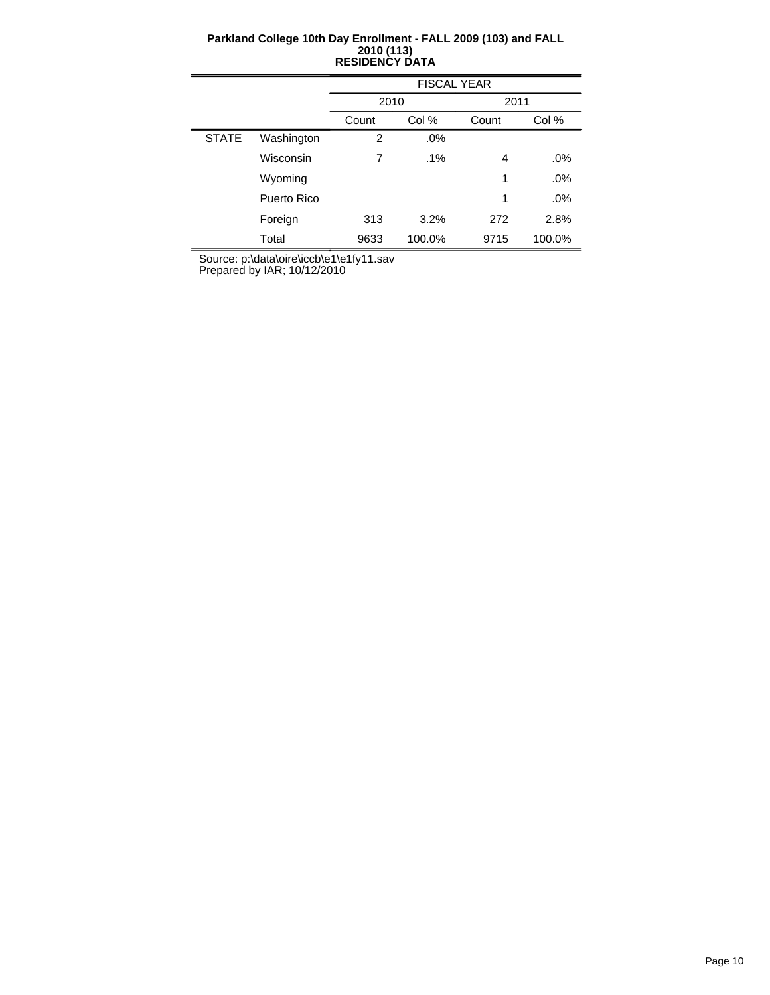|              |             | <b>FISCAL YEAR</b> |        |       |        |  |  |
|--------------|-------------|--------------------|--------|-------|--------|--|--|
|              |             | 2010               |        | 2011  |        |  |  |
|              |             | Count              | Col %  | Count | Col %  |  |  |
| <b>STATE</b> | Washington  | 2                  | .0%    |       |        |  |  |
|              | Wisconsin   | 7                  | $.1\%$ | 4     | .0%    |  |  |
|              | Wyoming     |                    |        | 1     | .0%    |  |  |
|              | Puerto Rico |                    |        | 1     | $.0\%$ |  |  |
|              | Foreign     | 313                | 3.2%   | 272   | 2.8%   |  |  |
|              | Total       | 9633               | 100.0% | 9715  | 100.0% |  |  |

Source: p:\data\oire\iccb\e1\e1fy11.sav

Prepared by IAR; 10/12/2010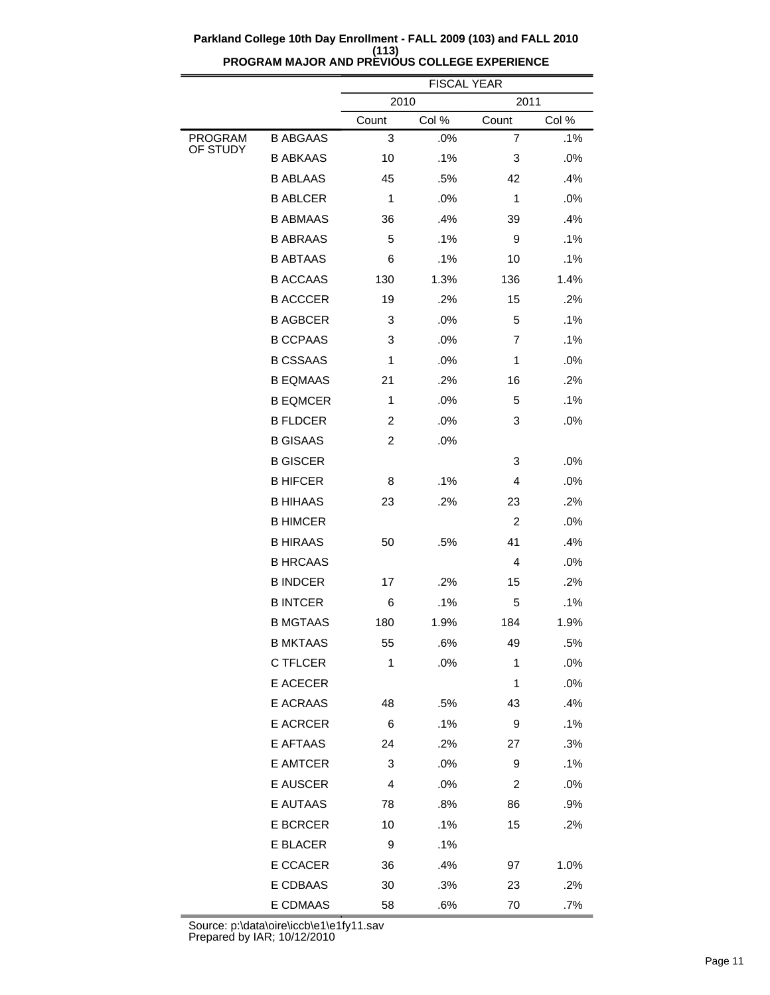|                            |                 | <b>FISCAL YEAR</b> |       |                |       |  |
|----------------------------|-----------------|--------------------|-------|----------------|-------|--|
|                            |                 | 2010<br>2011       |       |                |       |  |
|                            |                 | Count              | Col % | Count          | Col % |  |
| <b>PROGRAM</b><br>OF STUDY | <b>B ABGAAS</b> | 3                  | .0%   | $\overline{7}$ | .1%   |  |
|                            | <b>B ABKAAS</b> | 10                 | .1%   | 3              | .0%   |  |
|                            | <b>B ABLAAS</b> | 45                 | .5%   | 42             | .4%   |  |
|                            | <b>B ABLCER</b> | 1                  | .0%   | 1              | .0%   |  |
|                            | <b>B ABMAAS</b> | 36                 | .4%   | 39             | .4%   |  |
|                            | <b>B ABRAAS</b> | 5                  | .1%   | 9              | .1%   |  |
|                            | <b>B ABTAAS</b> | 6                  | .1%   | 10             | .1%   |  |
|                            | <b>B ACCAAS</b> | 130                | 1.3%  | 136            | 1.4%  |  |
|                            | <b>B ACCCER</b> | 19                 | .2%   | 15             | .2%   |  |
|                            | <b>B AGBCER</b> | 3                  | .0%   | 5              | .1%   |  |
|                            | <b>B CCPAAS</b> | 3                  | .0%   | 7              | .1%   |  |
|                            | <b>B CSSAAS</b> | 1                  | .0%   | 1              | .0%   |  |
|                            | <b>B EQMAAS</b> | 21                 | .2%   | 16             | .2%   |  |
|                            | <b>B EQMCER</b> | 1                  | .0%   | 5              | .1%   |  |
|                            | <b>B FLDCER</b> | $\overline{c}$     | .0%   | 3              | .0%   |  |
|                            | <b>B GISAAS</b> | $\overline{c}$     | .0%   |                |       |  |
|                            | <b>B GISCER</b> |                    |       | 3              | .0%   |  |
|                            | <b>B HIFCER</b> | 8                  | .1%   | 4              | .0%   |  |
|                            | <b>B HIHAAS</b> | 23                 | .2%   | 23             | .2%   |  |
|                            | <b>B HIMCER</b> |                    |       | $\overline{c}$ | .0%   |  |
|                            | <b>B HIRAAS</b> | 50                 | .5%   | 41             | .4%   |  |
|                            | <b>B HRCAAS</b> |                    |       | 4              | .0%   |  |
|                            | <b>B INDCER</b> | 17                 | .2%   | 15             | .2%   |  |
|                            | <b>B INTCER</b> | 6                  | .1%   | 5              | .1%   |  |
|                            | <b>B MGTAAS</b> | 180                | 1.9%  | 184            | 1.9%  |  |
|                            | <b>B MKTAAS</b> | 55                 | .6%   | 49             | .5%   |  |
|                            | C TFLCER        | 1                  | .0%   | 1              | .0%   |  |
|                            | E ACECER        |                    |       | 1              | .0%   |  |
|                            | E ACRAAS        | 48                 | .5%   | 43             | .4%   |  |
|                            | <b>E ACRCER</b> | 6                  | .1%   | 9              | .1%   |  |
|                            | E AFTAAS        | 24                 | .2%   | 27             | .3%   |  |
|                            | E AMTCER        | 3                  | .0%   | 9              | .1%   |  |
|                            | <b>E AUSCER</b> | 4                  | .0%   | 2              | .0%   |  |
|                            | <b>E AUTAAS</b> | 78                 | .8%   | 86             | .9%   |  |
|                            | <b>E BCRCER</b> | 10                 | .1%   | 15             | .2%   |  |
|                            | E BLACER        | 9                  | .1%   |                |       |  |
|                            | E CCACER        | 36                 | .4%   | 97             | 1.0%  |  |
|                            | E CDBAAS        | 30                 | .3%   | 23             | .2%   |  |
|                            | E CDMAAS        | 58                 | .6%   | 70             | .7%   |  |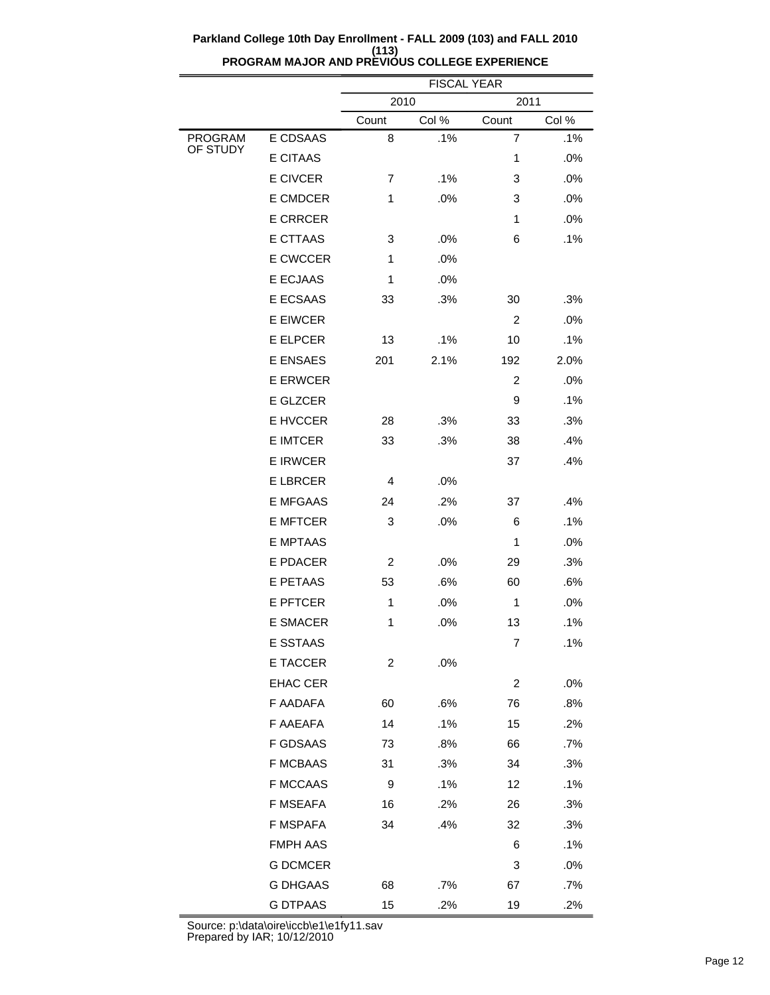|                     |                 | <b>FISCAL YEAR</b> |       |                |       |  |  |
|---------------------|-----------------|--------------------|-------|----------------|-------|--|--|
|                     |                 | 2010<br>2011       |       |                |       |  |  |
|                     |                 | Count              | Col % | Count          | Col % |  |  |
| PROGRAM<br>OF STUDY | E CDSAAS        | 8                  | .1%   | $\overline{7}$ | .1%   |  |  |
|                     | <b>E CITAAS</b> |                    |       | 1              | .0%   |  |  |
|                     | <b>E CIVCER</b> | 7                  | .1%   | 3              | .0%   |  |  |
|                     | <b>E CMDCER</b> | 1                  | .0%   | 3              | .0%   |  |  |
|                     | <b>E CRRCER</b> |                    |       | 1              | .0%   |  |  |
|                     | E CTTAAS        | 3                  | .0%   | 6              | .1%   |  |  |
|                     | <b>E CWCCER</b> | 1                  | .0%   |                |       |  |  |
|                     | <b>E ECJAAS</b> | 1                  | .0%   |                |       |  |  |
|                     | E ECSAAS        | 33                 | .3%   | 30             | .3%   |  |  |
|                     | <b>E EIWCER</b> |                    |       | 2              | .0%   |  |  |
|                     | <b>E ELPCER</b> | 13                 | .1%   | 10             | .1%   |  |  |
|                     | <b>E ENSAES</b> | 201                | 2.1%  | 192            | 2.0%  |  |  |
|                     | <b>E ERWCER</b> |                    |       | 2              | .0%   |  |  |
|                     | E GLZCER        |                    |       | 9              | .1%   |  |  |
|                     | E HVCCER        | 28                 | .3%   | 33             | .3%   |  |  |
|                     | <b>E IMTCER</b> | 33                 | .3%   | 38             | .4%   |  |  |
|                     | <b>E IRWCER</b> |                    |       | 37             | .4%   |  |  |
|                     | <b>ELBRCER</b>  | 4                  | .0%   |                |       |  |  |
|                     | <b>E MFGAAS</b> | 24                 | .2%   | 37             | .4%   |  |  |
|                     | <b>E MFTCER</b> | 3                  | .0%   | 6              | .1%   |  |  |
|                     | <b>E MPTAAS</b> |                    |       | 1              | .0%   |  |  |
|                     | <b>E PDACER</b> | $\overline{2}$     | .0%   | 29             | .3%   |  |  |
|                     | E PETAAS        | 53                 | .6%   | 60             | .6%   |  |  |
|                     | <b>E PFTCER</b> | 1                  | .0%   | 1              | .0%   |  |  |
|                     | <b>E SMACER</b> | 1                  | .0%   | 13             | .1%   |  |  |
|                     | E SSTAAS        |                    |       | 7              | .1%   |  |  |
|                     | E TACCER        | 2                  | .0%   |                |       |  |  |
|                     | <b>EHAC CER</b> |                    |       | 2              | .0%   |  |  |
|                     | F AADAFA        | 60                 | .6%   | 76             | .8%   |  |  |
|                     | F AAEAFA        | 14                 | .1%   | 15             | .2%   |  |  |
|                     | <b>F GDSAAS</b> | 73                 | .8%   | 66             | .7%   |  |  |
|                     | <b>F MCBAAS</b> | 31                 | .3%   | 34             | .3%   |  |  |
|                     | <b>F MCCAAS</b> | 9                  | .1%   | 12             | .1%   |  |  |
|                     | <b>F MSEAFA</b> | 16                 | .2%   | 26             | .3%   |  |  |
|                     | F MSPAFA        | 34                 | .4%   | 32             | .3%   |  |  |
|                     | <b>FMPH AAS</b> |                    |       | 6              | .1%   |  |  |
|                     | <b>G DCMCER</b> |                    |       | 3              | .0%   |  |  |
|                     | <b>G DHGAAS</b> | 68                 | .7%   | 67             | .7%   |  |  |
|                     | <b>G DTPAAS</b> | 15                 | .2%   | 19             | .2%   |  |  |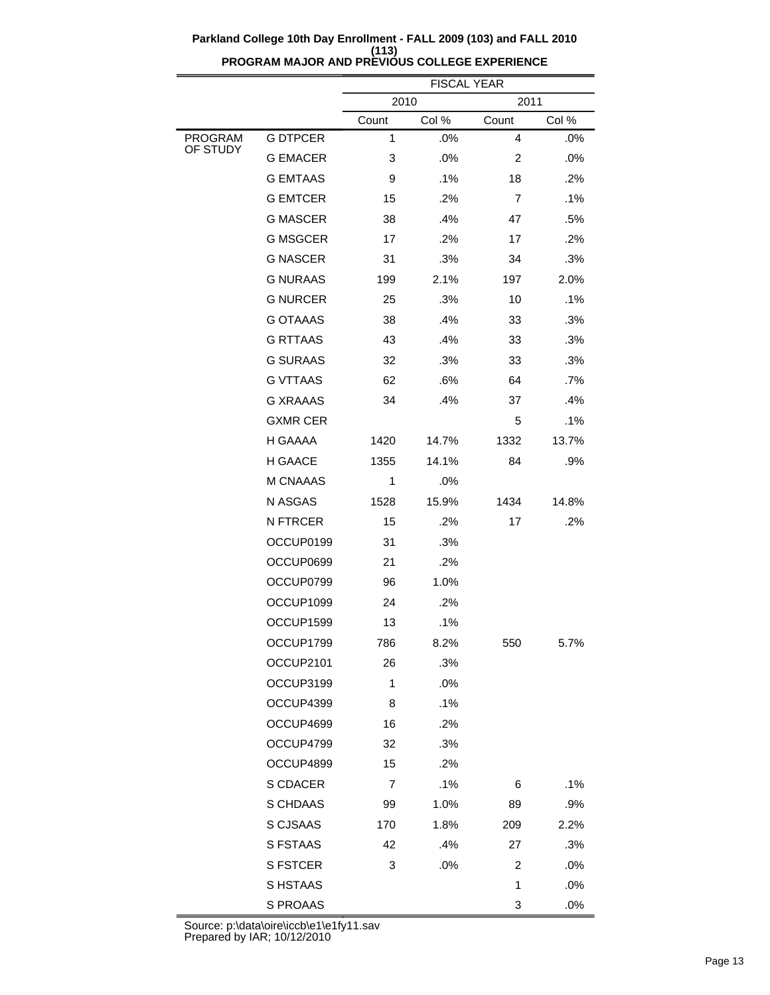$\overline{\phantom{a}}$ 

|                            |                 | <b>FISCAL YEAR</b> |       |                |       |  |
|----------------------------|-----------------|--------------------|-------|----------------|-------|--|
|                            |                 | 2010<br>2011       |       |                |       |  |
|                            |                 | Count              | Col % | Count          | Col % |  |
| <b>PROGRAM</b><br>OF STUDY | <b>G DTPCER</b> | 1                  | .0%   | $\overline{4}$ | .0%   |  |
|                            | <b>G EMACER</b> | 3                  | .0%   | 2              | .0%   |  |
|                            | <b>G EMTAAS</b> | 9                  | .1%   | 18             | .2%   |  |
|                            | <b>G EMTCER</b> | 15                 | .2%   | 7              | .1%   |  |
|                            | <b>G MASCER</b> | 38                 | .4%   | 47             | .5%   |  |
|                            | <b>G MSGCER</b> | 17                 | .2%   | 17             | .2%   |  |
|                            | <b>G NASCER</b> | 31                 | .3%   | 34             | .3%   |  |
|                            | <b>G NURAAS</b> | 199                | 2.1%  | 197            | 2.0%  |  |
|                            | <b>G NURCER</b> | 25                 | .3%   | 10             | .1%   |  |
|                            | <b>G OTAAAS</b> | 38                 | .4%   | 33             | .3%   |  |
|                            | <b>G RTTAAS</b> | 43                 | .4%   | 33             | .3%   |  |
|                            | <b>G SURAAS</b> | 32                 | .3%   | 33             | .3%   |  |
|                            | <b>G VTTAAS</b> | 62                 | .6%   | 64             | .7%   |  |
|                            | <b>G XRAAAS</b> | 34                 | .4%   | 37             | .4%   |  |
|                            | <b>GXMR CER</b> |                    |       | 5              | .1%   |  |
|                            | H GAAAA         | 1420               | 14.7% | 1332           | 13.7% |  |
|                            | H GAACE         | 1355               | 14.1% | 84             | .9%   |  |
|                            | <b>M CNAAAS</b> | 1                  | .0%   |                |       |  |
|                            | N ASGAS         | 1528               | 15.9% | 1434           | 14.8% |  |
|                            | <b>N FTRCER</b> | 15                 | .2%   | 17             | .2%   |  |
|                            | OCCUP0199       | 31                 | .3%   |                |       |  |
|                            | OCCUP0699       | 21                 | .2%   |                |       |  |
|                            | OCCUP0799       | 96                 | 1.0%  |                |       |  |
|                            | OCCUP1099       | 24                 | .2%   |                |       |  |
|                            | OCCUP1599       | 13                 | .1%   |                |       |  |
|                            | OCCUP1799       | 786                | 8.2%  | 550            | 5.7%  |  |
|                            | OCCUP2101       | 26                 | .3%   |                |       |  |
|                            | OCCUP3199       | 1                  | .0%   |                |       |  |
|                            | OCCUP4399       | 8                  | .1%   |                |       |  |
|                            | OCCUP4699       | 16                 | .2%   |                |       |  |
|                            | OCCUP4799       | 32                 | .3%   |                |       |  |
|                            | OCCUP4899       | 15                 | .2%   |                |       |  |
|                            | S CDACER        | 7                  | .1%   | 6              | .1%   |  |
|                            | S CHDAAS        | 99                 | 1.0%  | 89             | .9%   |  |
|                            | S CJSAAS        | 170                | 1.8%  | 209            | 2.2%  |  |
|                            | S FSTAAS        | 42                 | .4%   | 27             | .3%   |  |
|                            | <b>S FSTCER</b> | 3                  | .0%   | 2              | .0%   |  |
|                            | S HSTAAS        |                    |       | 1              | .0%   |  |
|                            | S PROAAS        |                    |       | 3              | .0%   |  |

Source: p:\data\oire\iccb\e1\e1fy11.sav Prepared by IAR; 10/12/2010

 $\equiv$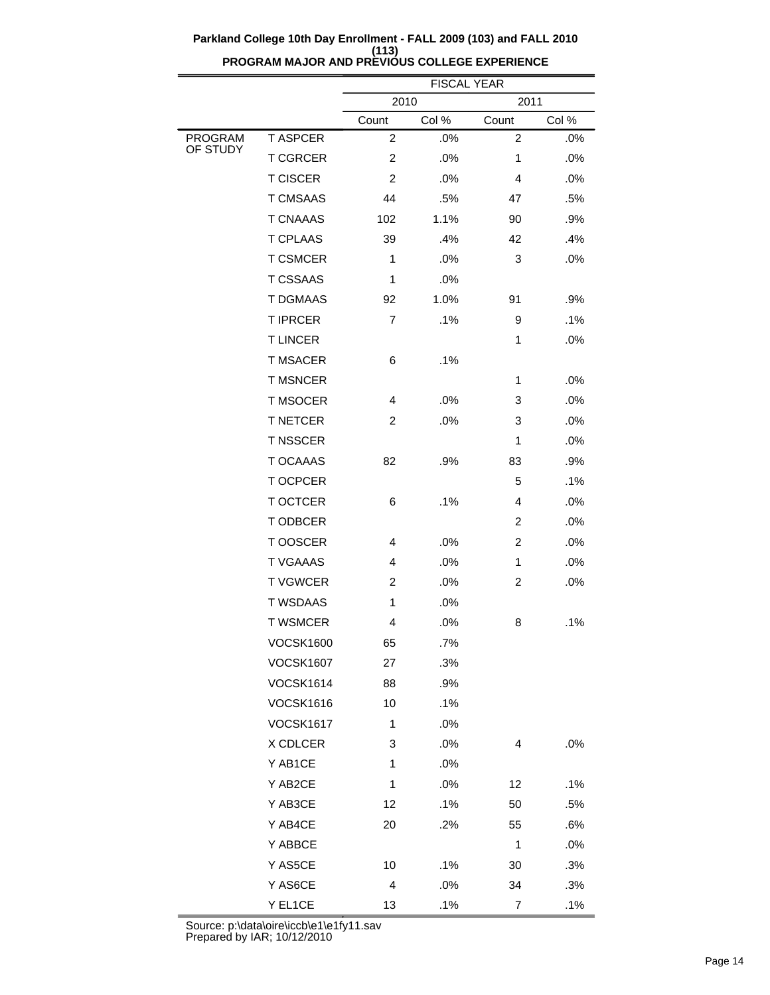|                     |                  | <b>FISCAL YEAR</b>      |       |                  |        |  |
|---------------------|------------------|-------------------------|-------|------------------|--------|--|
|                     |                  | 2010<br>2011            |       |                  |        |  |
|                     |                  | Count                   | Col % | Count            | Col %  |  |
| PROGRAM<br>OF STUDY | <b>T ASPCER</b>  | $\overline{\mathbf{c}}$ | .0%   | $\boldsymbol{2}$ | .0%    |  |
|                     | <b>T CGRCER</b>  | $\overline{2}$          | .0%   | 1                | .0%    |  |
|                     | <b>T CISCER</b>  | $\overline{2}$          | .0%   | 4                | .0%    |  |
|                     | <b>T CMSAAS</b>  | 44                      | .5%   | 47               | .5%    |  |
|                     | <b>T CNAAAS</b>  | 102                     | 1.1%  | 90               | .9%    |  |
|                     | <b>T CPLAAS</b>  | 39                      | .4%   | 42               | .4%    |  |
|                     | <b>T CSMCER</b>  | $\mathbf{1}$            | .0%   | 3                | .0%    |  |
|                     | <b>T CSSAAS</b>  | 1                       | .0%   |                  |        |  |
|                     | <b>T DGMAAS</b>  | 92                      | 1.0%  | 91               | .9%    |  |
|                     | <b>T IPRCER</b>  | $\overline{7}$          | .1%   | 9                | .1%    |  |
|                     | <b>TLINCER</b>   |                         |       | 1                | .0%    |  |
|                     | <b>T MSACER</b>  | 6                       | .1%   |                  |        |  |
|                     | <b>T MSNCER</b>  |                         |       | 1                | .0%    |  |
|                     | <b>T MSOCER</b>  | 4                       | .0%   | 3                | .0%    |  |
|                     | <b>T NETCER</b>  | $\overline{2}$          | .0%   | 3                | .0%    |  |
|                     | <b>T NSSCER</b>  |                         |       | 1                | .0%    |  |
|                     | <b>T OCAAAS</b>  | 82                      | .9%   | 83               | .9%    |  |
|                     | T OCPCER         |                         |       | 5                | .1%    |  |
|                     | <b>T OCTCER</b>  | 6                       | .1%   | 4                | .0%    |  |
|                     | T ODBCER         |                         |       | $\overline{c}$   | .0%    |  |
|                     | T OOSCER         | 4                       | .0%   | $\overline{2}$   | .0%    |  |
|                     | <b>T VGAAAS</b>  | 4                       | .0%   | 1                | .0%    |  |
|                     | <b>TVGWCER</b>   | $\overline{2}$          | .0%   | $\overline{2}$   | .0%    |  |
|                     | <b>T WSDAAS</b>  | $\mathbf{1}$            | .0%   |                  |        |  |
|                     | <b>T WSMCER</b>  | 4                       | .0%   | 8                | .1%    |  |
|                     | VOCSK1600        | 65                      | .7%   |                  |        |  |
|                     | <b>VOCSK1607</b> | 27                      | .3%   |                  |        |  |
|                     | <b>VOCSK1614</b> | 88                      | .9%   |                  |        |  |
|                     | <b>VOCSK1616</b> | 10                      | .1%   |                  |        |  |
|                     | <b>VOCSK1617</b> | $\mathbf{1}$            | .0%   |                  |        |  |
|                     | X CDLCER         | 3                       | .0%   | 4                | .0%    |  |
|                     | Y AB1CE          | 1                       | .0%   |                  |        |  |
|                     | Y AB2CE          | 1                       | .0%   | 12               | $.1\%$ |  |
|                     | Y AB3CE          | 12                      | .1%   | 50               | .5%    |  |
|                     | Y AB4CE          | 20                      | .2%   | 55               | .6%    |  |
|                     | Y ABBCE          |                         |       | 1                | .0%    |  |
|                     | Y AS5CE          | 10                      | .1%   | 30               | .3%    |  |
|                     | Y AS6CE          | 4                       | .0%   | 34               | .3%    |  |
|                     | Y EL1CE          | 13                      | .1%   | 7                | .1%    |  |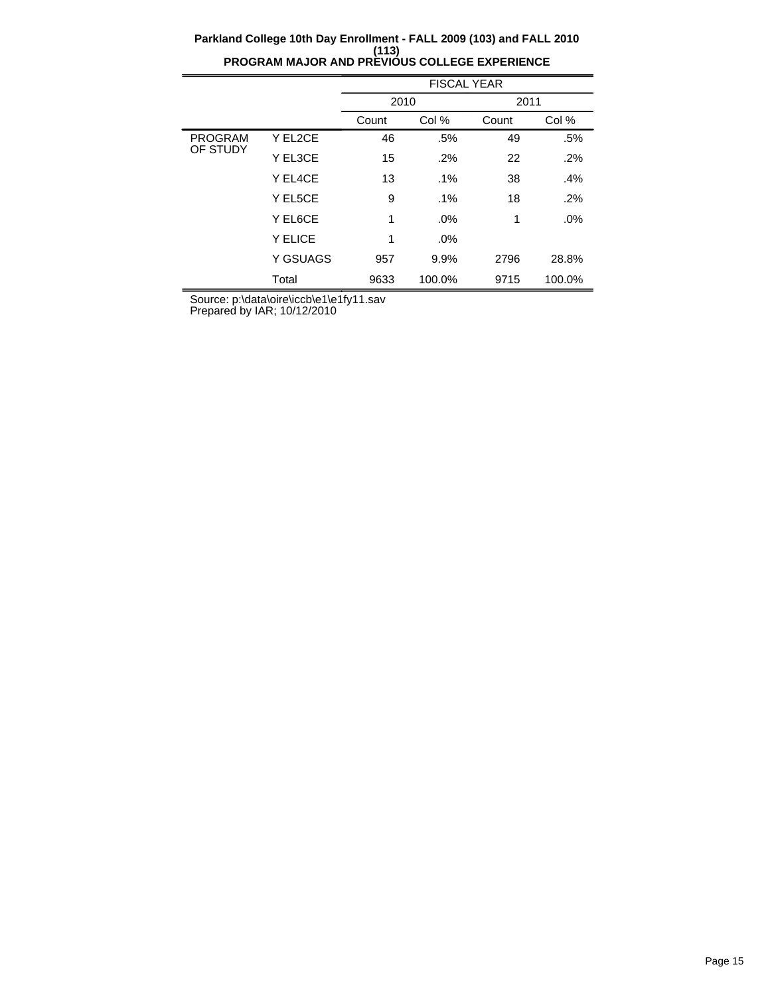|                |          | <b>FISCAL YEAR</b> |        |       |        |  |
|----------------|----------|--------------------|--------|-------|--------|--|
|                |          | 2010               |        | 2011  |        |  |
|                |          | Count              | Col %  | Count | Col %  |  |
| <b>PROGRAM</b> | Y EL2CE  | 46                 | .5%    | 49    | .5%    |  |
| OF STUDY       | Y EL3CE  | 15                 | .2%    | 22    | .2%    |  |
|                | Y EL4CE  | 13                 | .1%    | 38    | .4%    |  |
|                | Y EL5CE  | 9                  | $.1\%$ | 18    | .2%    |  |
|                | Y EL6CE  | 1                  | .0%    | 1     | .0%    |  |
|                | Y ELICE  | 1                  | .0%    |       |        |  |
|                | Y GSUAGS | 957                | 9.9%   | 2796  | 28.8%  |  |
|                | Total    | 9633               | 100.0% | 9715  | 100.0% |  |

Source: p:\data\oire\iccb\e1\e1fy11.sav

Prepared by IAR; 10/12/2010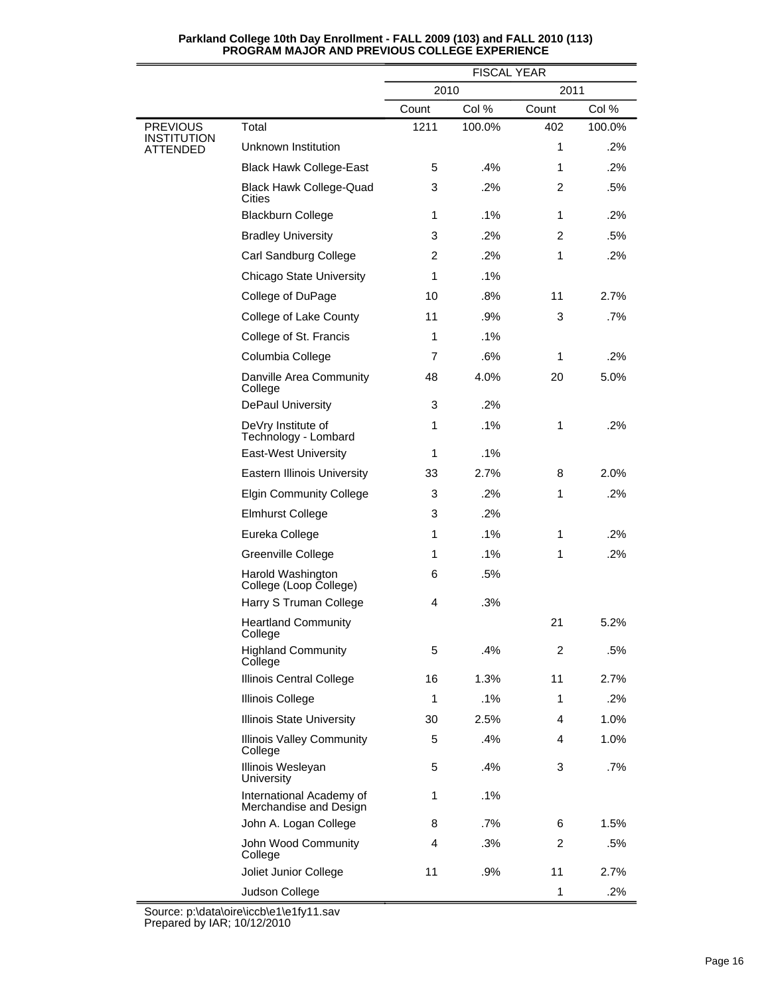|                                |                                                    | <b>FISCAL YEAR</b> |        |              |        |  |
|--------------------------------|----------------------------------------------------|--------------------|--------|--------------|--------|--|
|                                |                                                    | 2010<br>2011       |        |              |        |  |
|                                |                                                    | Count              | Col %  | Count        | Col %  |  |
| <b>PREVIOUS</b><br>INSTITUTION | Total                                              | 1211               | 100.0% | 402          | 100.0% |  |
| ATTENDED                       | Unknown Institution                                |                    |        | $\mathbf{1}$ | $.2\%$ |  |
|                                | <b>Black Hawk College-East</b>                     | 5                  | .4%    | 1            | .2%    |  |
|                                | <b>Black Hawk College-Quad</b><br>Cities           | 3                  | .2%    | 2            | .5%    |  |
|                                | <b>Blackburn College</b>                           | 1                  | .1%    | 1            | .2%    |  |
|                                | <b>Bradley University</b>                          | 3                  | .2%    | 2            | .5%    |  |
|                                | Carl Sandburg College                              | $\overline{2}$     | .2%    | 1            | .2%    |  |
|                                | Chicago State University                           | 1                  | $.1\%$ |              |        |  |
|                                | College of DuPage                                  | 10                 | .8%    | 11           | 2.7%   |  |
|                                | College of Lake County                             | 11                 | .9%    | 3            | .7%    |  |
|                                | College of St. Francis                             | 1                  | .1%    |              |        |  |
|                                | Columbia College                                   | 7                  | .6%    | 1            | .2%    |  |
|                                | Danville Area Community<br>College                 | 48                 | 4.0%   | 20           | 5.0%   |  |
|                                | DePaul University                                  | 3                  | .2%    |              |        |  |
|                                | DeVry Institute of<br>Technology - Lombard         | 1                  | .1%    | $\mathbf{1}$ | .2%    |  |
|                                | East-West University                               | 1                  | .1%    |              |        |  |
|                                | Eastern Illinois University                        | 33                 | 2.7%   | 8            | 2.0%   |  |
|                                | <b>Elgin Community College</b>                     | 3                  | .2%    | $\mathbf{1}$ | .2%    |  |
|                                | <b>Elmhurst College</b>                            | 3                  | .2%    |              |        |  |
|                                | Eureka College                                     | 1                  | .1%    | 1            | .2%    |  |
|                                | Greenville College                                 | 1                  | .1%    | $\mathbf{1}$ | .2%    |  |
|                                | Harold Washington<br>College (Loop College)        | 6                  | .5%    |              |        |  |
|                                | Harry S Truman College                             | 4                  | .3%    |              |        |  |
|                                | <b>Heartland Community</b><br>College              |                    |        | 21           | 5.2%   |  |
|                                | <b>Highland Community</b><br>College               | 5                  | .4%    | 2            | .5%    |  |
|                                | Illinois Central College                           | 16                 | 1.3%   | 11           | 2.7%   |  |
|                                | <b>Illinois College</b>                            | 1                  | .1%    | 1            | .2%    |  |
|                                | <b>Illinois State University</b>                   | 30                 | 2.5%   | 4            | 1.0%   |  |
|                                | <b>Illinois Valley Community</b><br>College        | 5                  | .4%    | 4            | 1.0%   |  |
|                                | Illinois Wesleyan<br>University                    | 5                  | .4%    | 3            | $.7\%$ |  |
|                                | International Academy of<br>Merchandise and Design | 1                  | .1%    |              |        |  |
|                                | John A. Logan College                              | 8                  | .7%    | 6            | 1.5%   |  |
|                                | John Wood Community<br>College                     | 4                  | .3%    | 2            | .5%    |  |
|                                | Joliet Junior College                              | 11                 | .9%    | 11           | 2.7%   |  |
|                                | Judson College                                     |                    |        | 1            | .2%    |  |

Source: p:\data\oire\iccb\e1\e1fy11.sav Prepared by IAR; 10/12/2010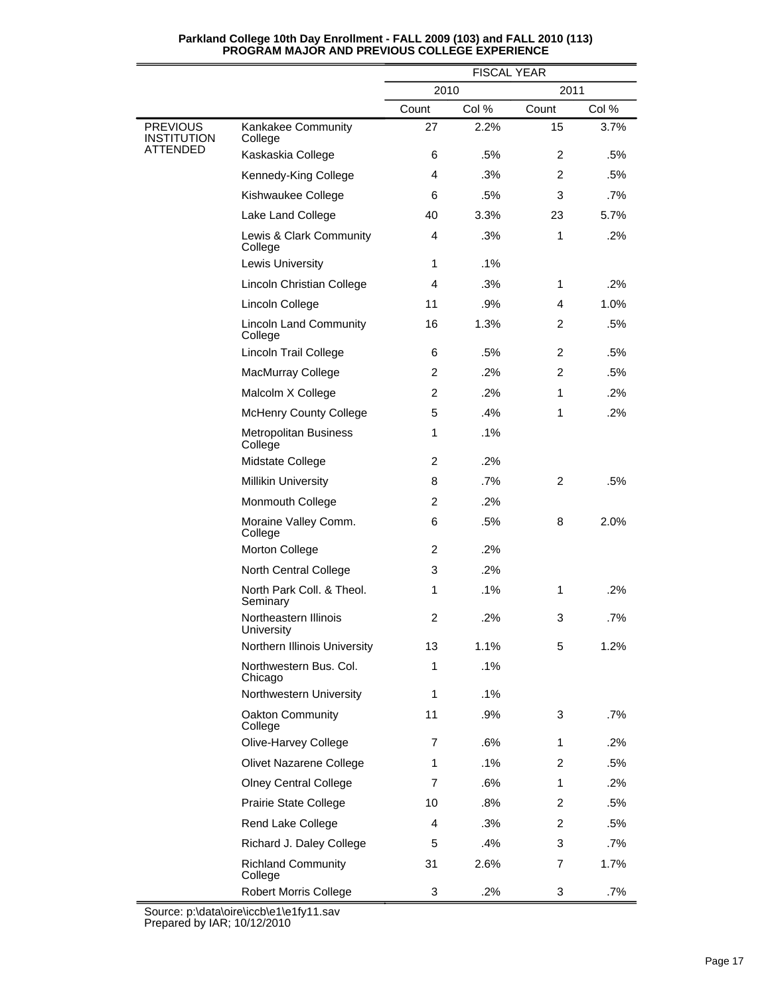|                                       |                                          | <b>FISCAL YEAR</b> |        |                |       |  |
|---------------------------------------|------------------------------------------|--------------------|--------|----------------|-------|--|
|                                       |                                          | 2010<br>2011       |        |                |       |  |
|                                       |                                          | Count              | Col %  | Count          | Col % |  |
| <b>PREVIOUS</b><br><b>INSTITUTION</b> | Kankakee Community<br>College            | 27                 | 2.2%   | 15             | 3.7%  |  |
| ATTENDED                              | Kaskaskia College                        | 6                  | .5%    | $\overline{2}$ | .5%   |  |
|                                       | Kennedy-King College                     | 4                  | .3%    | $\overline{2}$ | .5%   |  |
|                                       | Kishwaukee College                       | 6                  | .5%    | 3              | .7%   |  |
|                                       | Lake Land College                        | 40                 | 3.3%   | 23             | 5.7%  |  |
|                                       | Lewis & Clark Community<br>College       | $\overline{4}$     | .3%    | $\mathbf{1}$   | .2%   |  |
|                                       | Lewis University                         | 1                  | .1%    |                |       |  |
|                                       | Lincoln Christian College                | 4                  | .3%    | 1              | .2%   |  |
|                                       | Lincoln College                          | 11                 | .9%    | 4              | 1.0%  |  |
|                                       | <b>Lincoln Land Community</b><br>College | 16                 | 1.3%   | $\overline{2}$ | .5%   |  |
|                                       | Lincoln Trail College                    | 6                  | .5%    | $\overline{2}$ | .5%   |  |
|                                       | MacMurray College                        | 2                  | .2%    | $\overline{2}$ | .5%   |  |
|                                       | Malcolm X College                        | 2                  | .2%    | 1              | .2%   |  |
|                                       | <b>McHenry County College</b>            | 5                  | .4%    | $\mathbf{1}$   | .2%   |  |
|                                       | <b>Metropolitan Business</b><br>College  | 1                  | .1%    |                |       |  |
|                                       | Midstate College                         | $\overline{2}$     | .2%    |                |       |  |
|                                       | <b>Millikin University</b>               | 8                  | .7%    | $\overline{2}$ | .5%   |  |
|                                       | Monmouth College                         | $\overline{2}$     | .2%    |                |       |  |
|                                       | Moraine Valley Comm.<br>College          | 6                  | .5%    | 8              | 2.0%  |  |
|                                       | Morton College                           | 2                  | $.2\%$ |                |       |  |
|                                       | North Central College                    | 3                  | .2%    |                |       |  |
|                                       | North Park Coll. & Theol.<br>Seminary    | 1                  | .1%    | $\mathbf{1}$   | .2%   |  |
|                                       | Northeastern Illinois<br>University      | 2                  | .2%    | 3              | .7%   |  |
|                                       | Northern Illinois University             | 13                 | 1.1%   | 5              | 1.2%  |  |
|                                       | Northwestern Bus, Col.<br>Chicago        | 1                  | $.1\%$ |                |       |  |
|                                       | Northwestern University                  | 1                  | $.1\%$ |                |       |  |
|                                       | Oakton Community<br>College              | 11                 | .9%    | 3              | .7%   |  |
|                                       | Olive-Harvey College                     | 7                  | .6%    | 1              | .2%   |  |
|                                       | Olivet Nazarene College                  | 1                  | .1%    | 2              | .5%   |  |
|                                       | <b>Olney Central College</b>             | 7                  | .6%    | 1              | .2%   |  |
|                                       | Prairie State College                    | 10                 | .8%    | 2              | .5%   |  |
|                                       | Rend Lake College                        | 4                  | .3%    | 2              | .5%   |  |
|                                       | Richard J. Daley College                 | 5                  | .4%    | 3              | .7%   |  |
|                                       | <b>Richland Community</b><br>College     | 31                 | 2.6%   | 7              | 1.7%  |  |
|                                       | <b>Robert Morris College</b>             | 3                  | .2%    | 3              | .7%   |  |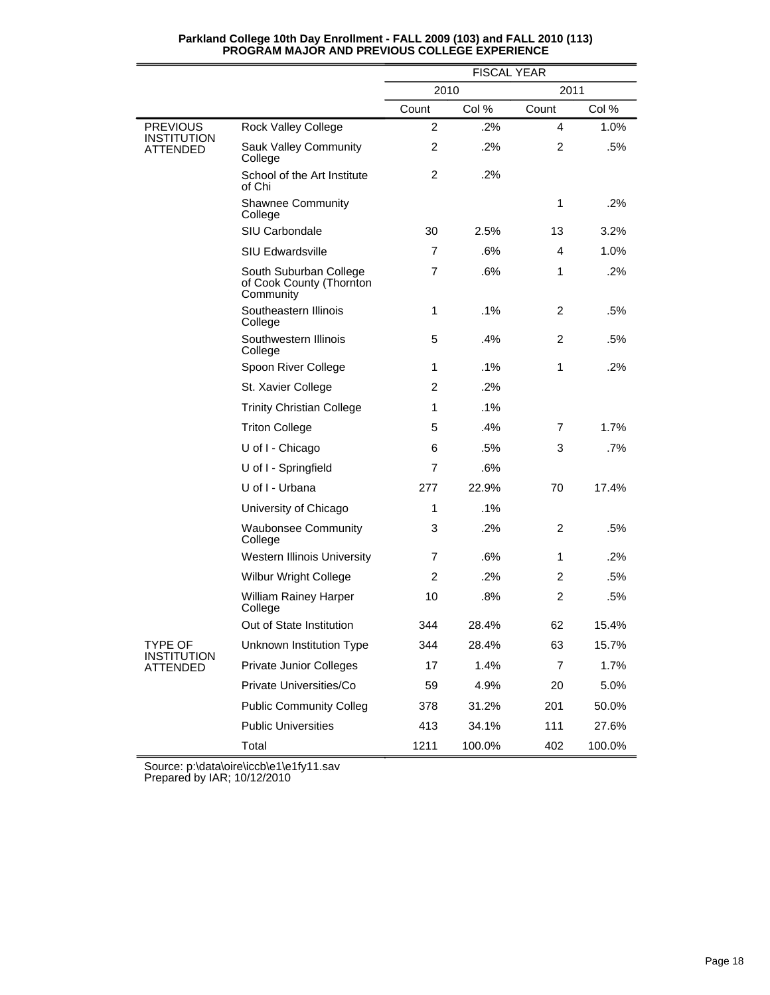|                                |                                                                 | <b>FISCAL YEAR</b> |        |                |        |  |
|--------------------------------|-----------------------------------------------------------------|--------------------|--------|----------------|--------|--|
|                                |                                                                 | 2010               |        | 2011           |        |  |
|                                |                                                                 | Count              | Col %  | Count          | Col %  |  |
| <b>PREVIOUS</b>                | Rock Valley College                                             | 2                  | .2%    | 4              | 1.0%   |  |
| <b>INSTITUTION</b><br>ATTENDED | Sauk Valley Community<br>College                                | $\overline{c}$     | .2%    | $\overline{2}$ | .5%    |  |
|                                | School of the Art Institute<br>of Chi                           | $\overline{2}$     | .2%    |                |        |  |
|                                | <b>Shawnee Community</b><br>College                             |                    |        | 1              | .2%    |  |
|                                | SIU Carbondale                                                  | 30                 | 2.5%   | 13             | 3.2%   |  |
|                                | <b>SIU Edwardsville</b>                                         | 7                  | .6%    | 4              | 1.0%   |  |
|                                | South Suburban College<br>of Cook County (Thornton<br>Community | $\overline{7}$     | .6%    | 1              | .2%    |  |
|                                | Southeastern Illinois<br>College                                | $\mathbf{1}$       | .1%    | 2              | .5%    |  |
|                                | Southwestern Illinois<br>College                                | 5                  | .4%    | $\overline{2}$ | .5%    |  |
|                                | Spoon River College                                             | 1                  | .1%    | 1              | .2%    |  |
|                                | St. Xavier College                                              | 2                  | .2%    |                |        |  |
|                                | <b>Trinity Christian College</b>                                | $\mathbf{1}$       | .1%    |                |        |  |
|                                | <b>Triton College</b>                                           | 5                  | .4%    | 7              | 1.7%   |  |
|                                | U of I - Chicago                                                | 6                  | .5%    | 3              | .7%    |  |
|                                | U of I - Springfield                                            | 7                  | .6%    |                |        |  |
|                                | U of I - Urbana                                                 | 277                | 22.9%  | 70             | 17.4%  |  |
|                                | University of Chicago                                           | $\mathbf{1}$       | .1%    |                |        |  |
|                                | <b>Waubonsee Community</b><br>College                           | 3                  | .2%    | 2              | .5%    |  |
|                                | <b>Western Illinois University</b>                              | 7                  | .6%    | 1              | .2%    |  |
|                                | Wilbur Wright College                                           | 2                  | .2%    | 2              | .5%    |  |
|                                | William Rainey Harper<br>College                                | 10                 | .8%    | $\overline{2}$ | .5%    |  |
|                                | Out of State Institution                                        | 344                | 28.4%  | 62             | 15.4%  |  |
| TYPE OF                        | Unknown Institution Type                                        | 344                | 28.4%  | 63             | 15.7%  |  |
| <b>INSTITUTION</b><br>ATTENDED | <b>Private Junior Colleges</b>                                  | 17                 | 1.4%   | 7              | 1.7%   |  |
|                                | Private Universities/Co                                         | 59                 | 4.9%   | 20             | 5.0%   |  |
|                                | <b>Public Community Colleg</b>                                  | 378                | 31.2%  | 201            | 50.0%  |  |
|                                | <b>Public Universities</b>                                      | 413                | 34.1%  | 111            | 27.6%  |  |
|                                | Total                                                           | 1211               | 100.0% | 402            | 100.0% |  |